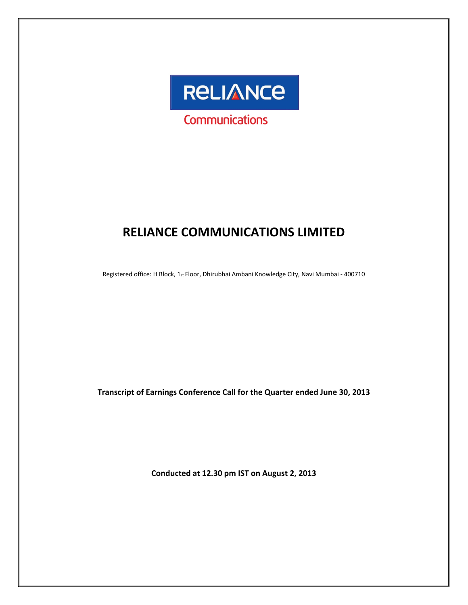

# **RELIANCE COMMUNICATIONS LIMITED**

Registered office: H Block, 1st Floor, Dhirubhai Ambani Knowledge City, Navi Mumbai ‐ 400710

**Transcript of Earnings Conference Call for the Quarter ended June 30, 2013**

**Conducted at 12.30 pm IST on August 2, 2013**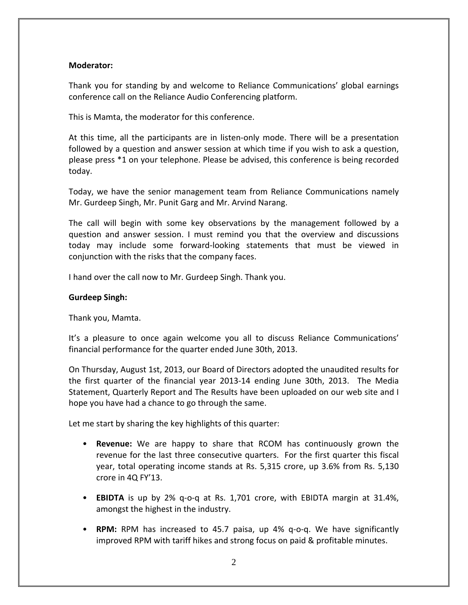# **Moderator:**

Thank you for standing by and welcome to Reliance Communications' global earnings conference call on the Reliance Audio Conferencing platform.

This is Mamta, the moderator for this conference.

At this time, all the participants are in listen-only mode. There will be a presentation followed by a question and answer session at which time if you wish to ask a question, please press \*1 on your telephone. Please be advised, this conference is being recorded today.

Today, we have the senior management team from Reliance Communications namely Mr. Gurdeep Singh, Mr. Punit Garg and Mr. Arvind Narang.

The call will begin with some key observations by the management followed by a question and answer session. I must remind you that the overview and discussions today may include some forward‐looking statements that must be viewed in conjunction with the risks that the company faces.

I hand over the call now to Mr. Gurdeep Singh. Thank you.

# **Gurdeep Singh:**

Thank you, Mamta.

It's a pleasure to once again welcome you all to discuss Reliance Communications' financial performance for the quarter ended June 30th, 2013.

On Thursday, August 1st, 2013, our Board of Directors adopted the unaudited results for the first quarter of the financial year 2013‐14 ending June 30th, 2013. The Media Statement, Quarterly Report and The Results have been uploaded on our web site and I hope you have had a chance to go through the same.

Let me start by sharing the key highlights of this quarter:

- **Revenue:** We are happy to share that RCOM has continuously grown the revenue for the last three consecutive quarters. For the first quarter this fiscal year, total operating income stands at Rs. 5,315 crore, up 3.6% from Rs. 5,130 crore in 4Q FY'13.
- **EBIDTA** is up by 2% q‐o‐q at Rs. 1,701 crore, with EBIDTA margin at 31.4%, amongst the highest in the industry.
- **RPM:** RPM has increased to 45.7 paisa, up 4% q‐o‐q. We have significantly improved RPM with tariff hikes and strong focus on paid & profitable minutes.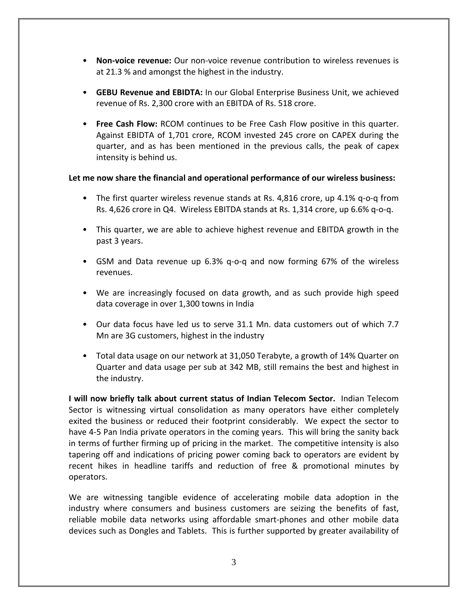- **Non‐voice revenue:** Our non‐voice revenue contribution to wireless revenues is at 21.3 % and amongst the highest in the industry.
- **GEBU Revenue and EBIDTA:** In our Global Enterprise Business Unit, we achieved revenue of Rs. 2,300 crore with an EBITDA of Rs. 518 crore.
- **Free Cash Flow:** RCOM continues to be Free Cash Flow positive in this quarter. Against EBIDTA of 1,701 crore, RCOM invested 245 crore on CAPEX during the quarter, and as has been mentioned in the previous calls, the peak of capex intensity is behind us.

# **Let me now share the financial and operational performance of our wireless business:**

- The first quarter wireless revenue stands at Rs. 4,816 crore, up 4.1% q-o-q from Rs. 4,626 crore in Q4. Wireless EBITDA stands at Rs. 1,314 crore, up 6.6% q‐o‐q.
- This quarter, we are able to achieve highest revenue and EBITDA growth in the past 3 years.
- GSM and Data revenue up 6.3% q‐o‐q and now forming 67% of the wireless revenues.
- We are increasingly focused on data growth, and as such provide high speed data coverage in over 1,300 towns in India
- Our data focus have led us to serve 31.1 Mn. data customers out of which 7.7 Mn are 3G customers, highest in the industry
- Total data usage on our network at 31,050 Terabyte, a growth of 14% Quarter on Quarter and data usage per sub at 342 MB, still remains the best and highest in the industry.

**I will now briefly talk about current status of Indian Telecom Sector.** Indian Telecom Sector is witnessing virtual consolidation as many operators have either completely exited the business or reduced their footprint considerably. We expect the sector to have 4‐5 Pan India private operators in the coming years. This will bring the sanity back in terms of further firming up of pricing in the market. The competitive intensity is also tapering off and indications of pricing power coming back to operators are evident by recent hikes in headline tariffs and reduction of free & promotional minutes by operators.

We are witnessing tangible evidence of accelerating mobile data adoption in the industry where consumers and business customers are seizing the benefits of fast, reliable mobile data networks using affordable smart‐phones and other mobile data devices such as Dongles and Tablets. This is further supported by greater availability of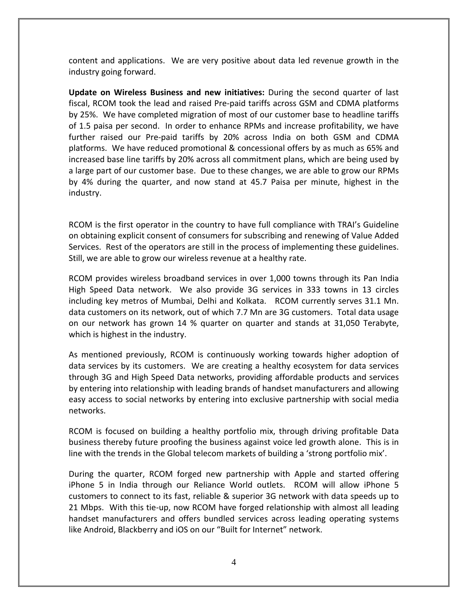content and applications. We are very positive about data led revenue growth in the industry going forward.

**Update on Wireless Business and new initiatives:** During the second quarter of last fiscal, RCOM took the lead and raised Pre‐paid tariffs across GSM and CDMA platforms by 25%. We have completed migration of most of our customer base to headline tariffs of 1.5 paisa per second. In order to enhance RPMs and increase profitability, we have further raised our Pre‐paid tariffs by 20% across India on both GSM and CDMA platforms. We have reduced promotional & concessional offers by as much as 65% and increased base line tariffs by 20% across all commitment plans, which are being used by a large part of our customer base. Due to these changes, we are able to grow our RPMs by 4% during the quarter, and now stand at 45.7 Paisa per minute, highest in the industry.

RCOM is the first operator in the country to have full compliance with TRAI's Guideline on obtaining explicit consent of consumers for subscribing and renewing of Value Added Services. Rest of the operators are still in the process of implementing these guidelines. Still, we are able to grow our wireless revenue at a healthy rate.

RCOM provides wireless broadband services in over 1,000 towns through its Pan India High Speed Data network. We also provide 3G services in 333 towns in 13 circles including key metros of Mumbai, Delhi and Kolkata. RCOM currently serves 31.1 Mn. data customers on its network, out of which 7.7 Mn are 3G customers. Total data usage on our network has grown 14 % quarter on quarter and stands at 31,050 Terabyte, which is highest in the industry.

As mentioned previously, RCOM is continuously working towards higher adoption of data services by its customers. We are creating a healthy ecosystem for data services through 3G and High Speed Data networks, providing affordable products and services by entering into relationship with leading brands of handset manufacturers and allowing easy access to social networks by entering into exclusive partnership with social media networks.

RCOM is focused on building a healthy portfolio mix, through driving profitable Data business thereby future proofing the business against voice led growth alone. This is in line with the trends in the Global telecom markets of building a 'strong portfolio mix'.

During the quarter, RCOM forged new partnership with Apple and started offering iPhone 5 in India through our Reliance World outlets. RCOM will allow iPhone 5 customers to connect to its fast, reliable & superior 3G network with data speeds up to 21 Mbps. With this tie-up, now RCOM have forged relationship with almost all leading handset manufacturers and offers bundled services across leading operating systems like Android, Blackberry and iOS on our "Built for Internet" network.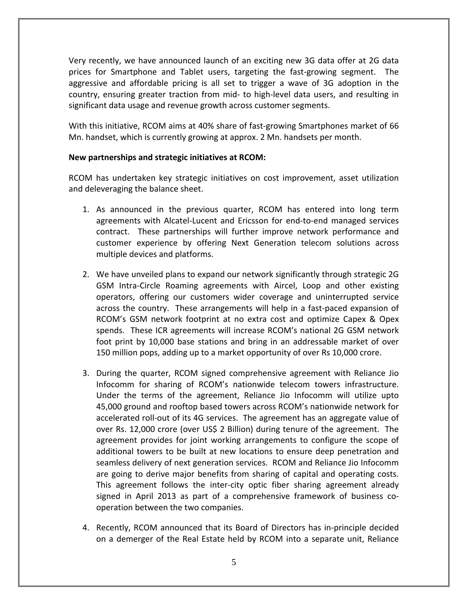Very recently, we have announced launch of an exciting new 3G data offer at 2G data prices for Smartphone and Tablet users, targeting the fast‐growing segment. The aggressive and affordable pricing is all set to trigger a wave of 3G adoption in the country, ensuring greater traction from mid‐ to high‐level data users, and resulting in significant data usage and revenue growth across customer segments.

With this initiative, RCOM aims at 40% share of fast-growing Smartphones market of 66 Mn. handset, which is currently growing at approx. 2 Mn. handsets per month.

# **New partnerships and strategic initiatives at RCOM:**

RCOM has undertaken key strategic initiatives on cost improvement, asset utilization and deleveraging the balance sheet.

- 1. As announced in the previous quarter, RCOM has entered into long term agreements with Alcatel‐Lucent and Ericsson for end‐to‐end managed services contract. These partnerships will further improve network performance and customer experience by offering Next Generation telecom solutions across multiple devices and platforms.
- 2. We have unveiled plans to expand our network significantly through strategic 2G GSM Intra‐Circle Roaming agreements with Aircel, Loop and other existing operators, offering our customers wider coverage and uninterrupted service across the country. These arrangements will help in a fast‐paced expansion of RCOM's GSM network footprint at no extra cost and optimize Capex & Opex spends. These ICR agreements will increase RCOM's national 2G GSM network foot print by 10,000 base stations and bring in an addressable market of over 150 million pops, adding up to a market opportunity of over Rs 10,000 crore.
- 3. During the quarter, RCOM signed comprehensive agreement with Reliance Jio Infocomm for sharing of RCOM's nationwide telecom towers infrastructure. Under the terms of the agreement, Reliance Jio Infocomm will utilize upto 45,000 ground and rooftop based towers across RCOM's nationwide network for accelerated roll‐out of its 4G services. The agreement has an aggregate value of over Rs. 12,000 crore (over US\$ 2 Billion) during tenure of the agreement. The agreement provides for joint working arrangements to configure the scope of additional towers to be built at new locations to ensure deep penetration and seamless delivery of next generation services. RCOM and Reliance Jio Infocomm are going to derive major benefits from sharing of capital and operating costs. This agreement follows the inter-city optic fiber sharing agreement already signed in April 2013 as part of a comprehensive framework of business cooperation between the two companies.
- 4. Recently, RCOM announced that its Board of Directors has in‐principle decided on a demerger of the Real Estate held by RCOM into a separate unit, Reliance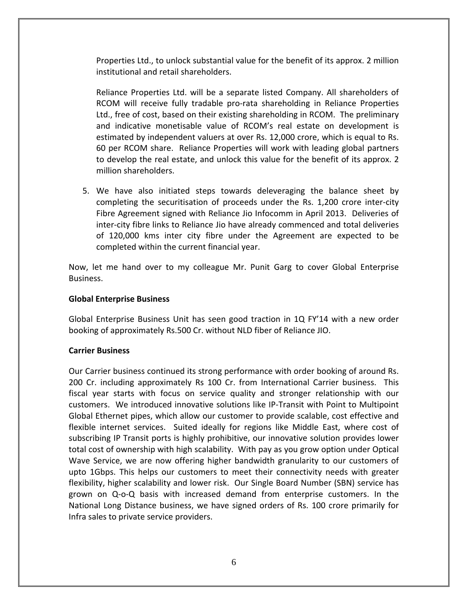Properties Ltd., to unlock substantial value for the benefit of its approx. 2 million institutional and retail shareholders.

Reliance Properties Ltd. will be a separate listed Company. All shareholders of RCOM will receive fully tradable pro‐rata shareholding in Reliance Properties Ltd., free of cost, based on their existing shareholding in RCOM. The preliminary and indicative monetisable value of RCOM's real estate on development is estimated by independent valuers at over Rs. 12,000 crore, which is equal to Rs. 60 per RCOM share. Reliance Properties will work with leading global partners to develop the real estate, and unlock this value for the benefit of its approx. 2 million shareholders.

5. We have also initiated steps towards deleveraging the balance sheet by completing the securitisation of proceeds under the Rs. 1,200 crore inter‐city Fibre Agreement signed with Reliance Jio Infocomm in April 2013. Deliveries of inter‐city fibre links to Reliance Jio have already commenced and total deliveries of 120,000 kms inter city fibre under the Agreement are expected to be completed within the current financial year.

Now, let me hand over to my colleague Mr. Punit Garg to cover Global Enterprise Business.

# **Global Enterprise Business**

Global Enterprise Business Unit has seen good traction in 1Q FY'14 with a new order booking of approximately Rs.500 Cr. without NLD fiber of Reliance JIO.

# **Carrier Business**

Our Carrier business continued its strong performance with order booking of around Rs. 200 Cr. including approximately Rs 100 Cr. from International Carrier business. This fiscal year starts with focus on service quality and stronger relationship with our customers. We introduced innovative solutions like IP‐Transit with Point to Multipoint Global Ethernet pipes, which allow our customer to provide scalable, cost effective and flexible internet services. Suited ideally for regions like Middle East, where cost of subscribing IP Transit ports is highly prohibitive, our innovative solution provides lower total cost of ownership with high scalability. With pay as you grow option under Optical Wave Service, we are now offering higher bandwidth granularity to our customers of upto 1Gbps. This helps our customers to meet their connectivity needs with greater flexibility, higher scalability and lower risk. Our Single Board Number (SBN) service has grown on Q‐o‐Q basis with increased demand from enterprise customers. In the National Long Distance business, we have signed orders of Rs. 100 crore primarily for Infra sales to private service providers.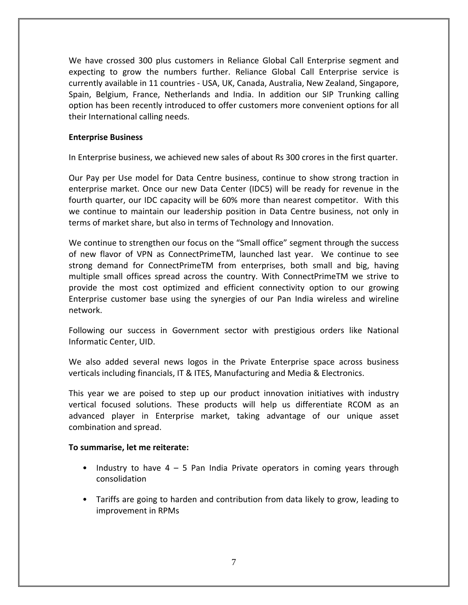We have crossed 300 plus customers in Reliance Global Call Enterprise segment and expecting to grow the numbers further. Reliance Global Call Enterprise service is currently available in 11 countries ‐ USA, UK, Canada, Australia, New Zealand, Singapore, Spain, Belgium, France, Netherlands and India. In addition our SIP Trunking calling option has been recently introduced to offer customers more convenient options for all their International calling needs.

# **Enterprise Business**

In Enterprise business, we achieved new sales of about Rs 300 crores in the first quarter.

Our Pay per Use model for Data Centre business, continue to show strong traction in enterprise market. Once our new Data Center (IDC5) will be ready for revenue in the fourth quarter, our IDC capacity will be 60% more than nearest competitor. With this we continue to maintain our leadership position in Data Centre business, not only in terms of market share, but also in terms of Technology and Innovation.

We continue to strengthen our focus on the "Small office" segment through the success of new flavor of VPN as ConnectPrimeTM, launched last year. We continue to see strong demand for ConnectPrimeTM from enterprises, both small and big, having multiple small offices spread across the country. With ConnectPrimeTM we strive to provide the most cost optimized and efficient connectivity option to our growing Enterprise customer base using the synergies of our Pan India wireless and wireline network.

Following our success in Government sector with prestigious orders like National Informatic Center, UID.

We also added several news logos in the Private Enterprise space across business verticals including financials, IT & ITES, Manufacturing and Media & Electronics.

This year we are poised to step up our product innovation initiatives with industry vertical focused solutions. These products will help us differentiate RCOM as an advanced player in Enterprise market, taking advantage of our unique asset combination and spread.

# **To summarise, let me reiterate:**

- Industry to have 4 5 Pan India Private operators in coming years through consolidation
- Tariffs are going to harden and contribution from data likely to grow, leading to improvement in RPMs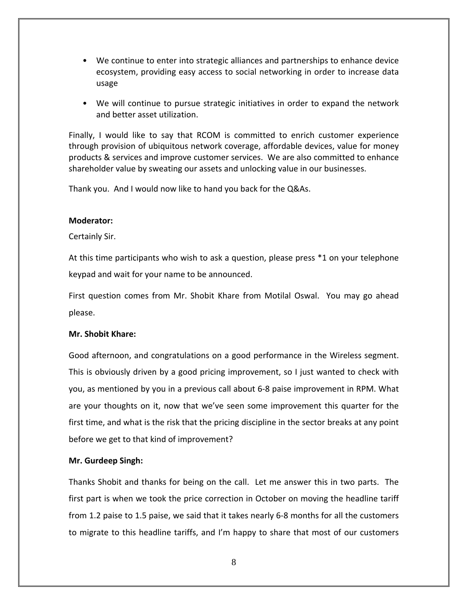- We continue to enter into strategic alliances and partnerships to enhance device ecosystem, providing easy access to social networking in order to increase data usage
- We will continue to pursue strategic initiatives in order to expand the network and better asset utilization.

Finally, I would like to say that RCOM is committed to enrich customer experience through provision of ubiquitous network coverage, affordable devices, value for money products & services and improve customer services. We are also committed to enhance shareholder value by sweating our assets and unlocking value in our businesses.

Thank you. And I would now like to hand you back for the Q&As.

## **Moderator:**

# Certainly Sir.

At this time participants who wish to ask a question, please press \*1 on your telephone keypad and wait for your name to be announced.

First question comes from Mr. Shobit Khare from Motilal Oswal. You may go ahead please.

# **Mr. Shobit Khare:**

Good afternoon, and congratulations on a good performance in the Wireless segment. This is obviously driven by a good pricing improvement, so I just wanted to check with you, as mentioned by you in a previous call about 6‐8 paise improvement in RPM. What are your thoughts on it, now that we've seen some improvement this quarter for the first time, and what is the risk that the pricing discipline in the sector breaks at any point before we get to that kind of improvement?

## **Mr. Gurdeep Singh:**

Thanks Shobit and thanks for being on the call. Let me answer this in two parts. The first part is when we took the price correction in October on moving the headline tariff from 1.2 paise to 1.5 paise, we said that it takes nearly 6‐8 months for all the customers to migrate to this headline tariffs, and I'm happy to share that most of our customers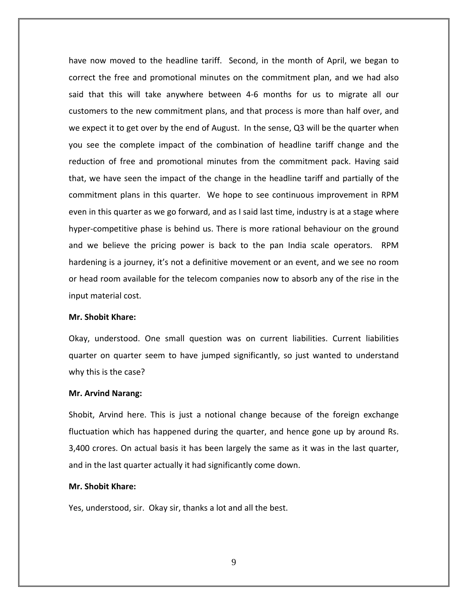have now moved to the headline tariff. Second, in the month of April, we began to correct the free and promotional minutes on the commitment plan, and we had also said that this will take anywhere between 4‐6 months for us to migrate all our customers to the new commitment plans, and that process is more than half over, and we expect it to get over by the end of August. In the sense, Q3 will be the quarter when you see the complete impact of the combination of headline tariff change and the reduction of free and promotional minutes from the commitment pack. Having said that, we have seen the impact of the change in the headline tariff and partially of the commitment plans in this quarter. We hope to see continuous improvement in RPM even in this quarter as we go forward, and as I said last time, industry is at a stage where hyper‐competitive phase is behind us. There is more rational behaviour on the ground and we believe the pricing power is back to the pan India scale operators. RPM hardening is a journey, it's not a definitive movement or an event, and we see no room or head room available for the telecom companies now to absorb any of the rise in the input material cost.

## **Mr. Shobit Khare:**

Okay, understood. One small question was on current liabilities. Current liabilities quarter on quarter seem to have jumped significantly, so just wanted to understand why this is the case?

#### **Mr. Arvind Narang:**

Shobit, Arvind here. This is just a notional change because of the foreign exchange fluctuation which has happened during the quarter, and hence gone up by around Rs. 3,400 crores. On actual basis it has been largely the same as it was in the last quarter, and in the last quarter actually it had significantly come down.

## **Mr. Shobit Khare:**

Yes, understood, sir. Okay sir, thanks a lot and all the best.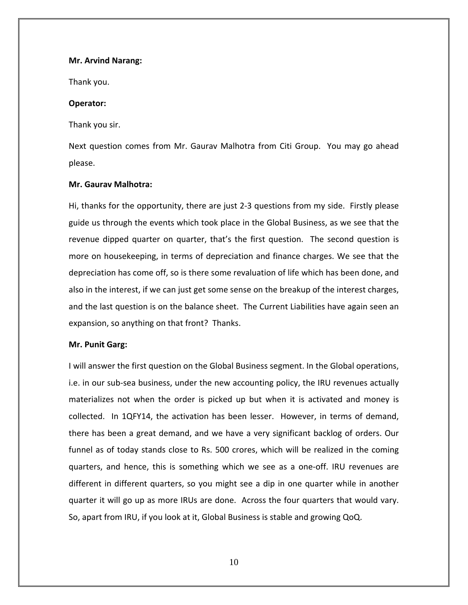## **Mr. Arvind Narang:**

Thank you.

## **Operator:**

Thank you sir.

Next question comes from Mr. Gaurav Malhotra from Citi Group. You may go ahead please.

## **Mr. Gaurav Malhotra:**

Hi, thanks for the opportunity, there are just 2‐3 questions from my side. Firstly please guide us through the events which took place in the Global Business, as we see that the revenue dipped quarter on quarter, that's the first question. The second question is more on housekeeping, in terms of depreciation and finance charges. We see that the depreciation has come off, so is there some revaluation of life which has been done, and also in the interest, if we can just get some sense on the breakup of the interest charges, and the last question is on the balance sheet. The Current Liabilities have again seen an expansion, so anything on that front? Thanks.

## **Mr. Punit Garg:**

I will answer the first question on the Global Business segment. In the Global operations, i.e. in our sub‐sea business, under the new accounting policy, the IRU revenues actually materializes not when the order is picked up but when it is activated and money is collected. In 1QFY14, the activation has been lesser. However, in terms of demand, there has been a great demand, and we have a very significant backlog of orders. Our funnel as of today stands close to Rs. 500 crores, which will be realized in the coming quarters, and hence, this is something which we see as a one‐off. IRU revenues are different in different quarters, so you might see a dip in one quarter while in another quarter it will go up as more IRUs are done. Across the four quarters that would vary. So, apart from IRU, if you look at it, Global Business is stable and growing QoQ.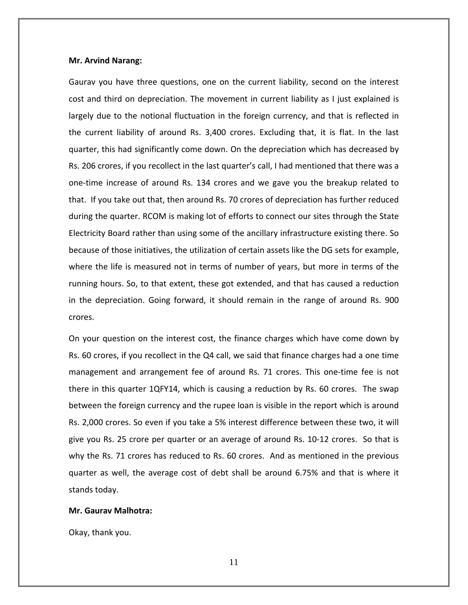## **Mr. Arvind Narang:**

Gaurav you have three questions, one on the current liability, second on the interest cost and third on depreciation. The movement in current liability as I just explained is largely due to the notional fluctuation in the foreign currency, and that is reflected in the current liability of around Rs. 3,400 crores. Excluding that, it is flat. In the last quarter, this had significantly come down. On the depreciation which has decreased by Rs. 206 crores, if you recollect in the last quarter's call, I had mentioned that there was a one‐time increase of around Rs. 134 crores and we gave you the breakup related to that. If you take out that, then around Rs. 70 crores of depreciation has further reduced during the quarter. RCOM is making lot of efforts to connect our sites through the State Electricity Board rather than using some of the ancillary infrastructure existing there. So because of those initiatives, the utilization of certain assets like the DG sets for example, where the life is measured not in terms of number of years, but more in terms of the running hours. So, to that extent, these got extended, and that has caused a reduction in the depreciation. Going forward, it should remain in the range of around Rs. 900 crores.

On your question on the interest cost, the finance charges which have come down by Rs. 60 crores, if you recollect in the Q4 call, we said that finance charges had a one time management and arrangement fee of around Rs. 71 crores. This one‐time fee is not there in this quarter 1QFY14, which is causing a reduction by Rs. 60 crores. The swap between the foreign currency and the rupee loan is visible in the report which is around Rs. 2,000 crores. So even if you take a 5% interest difference between these two, it will give you Rs. 25 crore per quarter or an average of around Rs. 10‐12 crores. So that is why the Rs. 71 crores has reduced to Rs. 60 crores. And as mentioned in the previous quarter as well, the average cost of debt shall be around 6.75% and that is where it stands today.

#### **Mr. Gaurav Malhotra:**

Okay, thank you.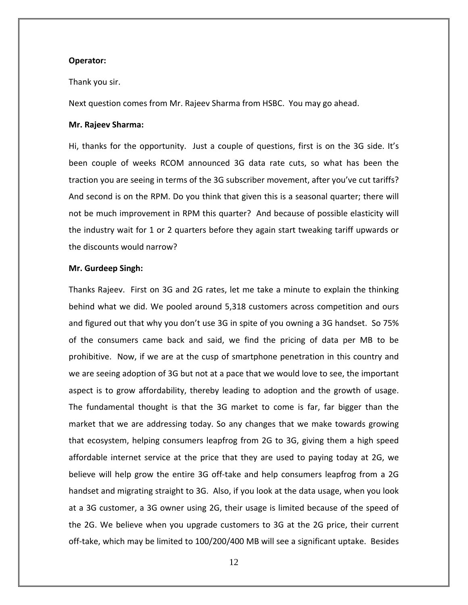## **Operator:**

#### Thank you sir.

Next question comes from Mr. Rajeev Sharma from HSBC. You may go ahead.

#### **Mr. Rajeev Sharma:**

Hi, thanks for the opportunity. Just a couple of questions, first is on the 3G side. It's been couple of weeks RCOM announced 3G data rate cuts, so what has been the traction you are seeing in terms of the 3G subscriber movement, after you've cut tariffs? And second is on the RPM. Do you think that given this is a seasonal quarter; there will not be much improvement in RPM this quarter? And because of possible elasticity will the industry wait for 1 or 2 quarters before they again start tweaking tariff upwards or the discounts would narrow?

## **Mr. Gurdeep Singh:**

Thanks Rajeev. First on 3G and 2G rates, let me take a minute to explain the thinking behind what we did. We pooled around 5,318 customers across competition and ours and figured out that why you don't use 3G in spite of you owning a 3G handset. So 75% of the consumers came back and said, we find the pricing of data per MB to be prohibitive. Now, if we are at the cusp of smartphone penetration in this country and we are seeing adoption of 3G but not at a pace that we would love to see, the important aspect is to grow affordability, thereby leading to adoption and the growth of usage. The fundamental thought is that the 3G market to come is far, far bigger than the market that we are addressing today. So any changes that we make towards growing that ecosystem, helping consumers leapfrog from 2G to 3G, giving them a high speed affordable internet service at the price that they are used to paying today at 2G, we believe will help grow the entire 3G off-take and help consumers leapfrog from a 2G handset and migrating straight to 3G. Also, if you look at the data usage, when you look at a 3G customer, a 3G owner using 2G, their usage is limited because of the speed of the 2G. We believe when you upgrade customers to 3G at the 2G price, their current off-take, which may be limited to 100/200/400 MB will see a significant uptake. Besides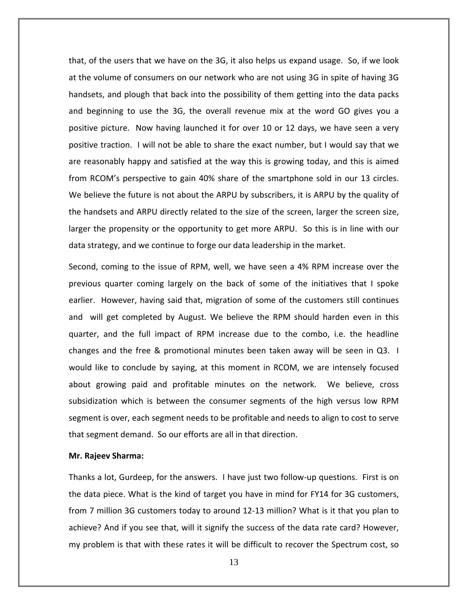that, of the users that we have on the 3G, it also helps us expand usage. So, if we look at the volume of consumers on our network who are not using 3G in spite of having 3G handsets, and plough that back into the possibility of them getting into the data packs and beginning to use the 3G, the overall revenue mix at the word GO gives you a positive picture. Now having launched it for over 10 or 12 days, we have seen a very positive traction. I will not be able to share the exact number, but I would say that we are reasonably happy and satisfied at the way this is growing today, and this is aimed from RCOM's perspective to gain 40% share of the smartphone sold in our 13 circles. We believe the future is not about the ARPU by subscribers, it is ARPU by the quality of the handsets and ARPU directly related to the size of the screen, larger the screen size, larger the propensity or the opportunity to get more ARPU. So this is in line with our data strategy, and we continue to forge our data leadership in the market.

Second, coming to the issue of RPM, well, we have seen a 4% RPM increase over the previous quarter coming largely on the back of some of the initiatives that I spoke earlier. However, having said that, migration of some of the customers still continues and will get completed by August. We believe the RPM should harden even in this quarter, and the full impact of RPM increase due to the combo, i.e. the headline changes and the free & promotional minutes been taken away will be seen in Q3. I would like to conclude by saying, at this moment in RCOM, we are intensely focused about growing paid and profitable minutes on the network. We believe, cross subsidization which is between the consumer segments of the high versus low RPM segment is over, each segment needs to be profitable and needs to align to cost to serve that segment demand. So our efforts are all in that direction.

## **Mr. Rajeev Sharma:**

Thanks a lot, Gurdeep, for the answers. I have just two follow‐up questions. First is on the data piece. What is the kind of target you have in mind for FY14 for 3G customers, from 7 million 3G customers today to around 12‐13 million? What is it that you plan to achieve? And if you see that, will it signify the success of the data rate card? However, my problem is that with these rates it will be difficult to recover the Spectrum cost, so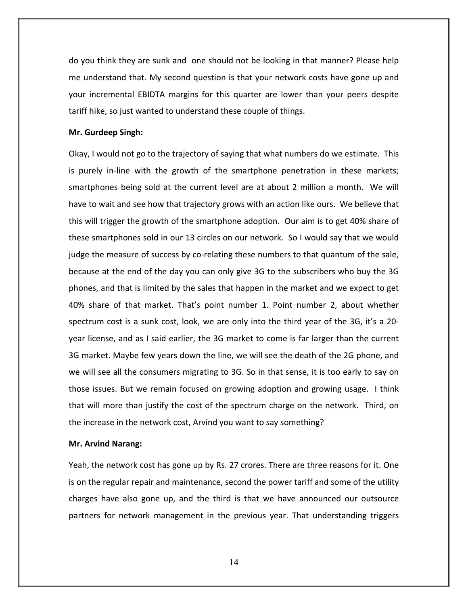do you think they are sunk and one should not be looking in that manner? Please help me understand that. My second question is that your network costs have gone up and your incremental EBIDTA margins for this quarter are lower than your peers despite tariff hike, so just wanted to understand these couple of things.

## **Mr. Gurdeep Singh:**

Okay, I would not go to the trajectory of saying that what numbers do we estimate. This is purely in‐line with the growth of the smartphone penetration in these markets; smartphones being sold at the current level are at about 2 million a month. We will have to wait and see how that trajectory grows with an action like ours. We believe that this will trigger the growth of the smartphone adoption. Our aim is to get 40% share of these smartphones sold in our 13 circles on our network. So I would say that we would judge the measure of success by co-relating these numbers to that quantum of the sale, because at the end of the day you can only give 3G to the subscribers who buy the 3G phones, and that is limited by the sales that happen in the market and we expect to get 40% share of that market. That's point number 1. Point number 2, about whether spectrum cost is a sunk cost, look, we are only into the third year of the 3G, it's a 20‐ year license, and as I said earlier, the 3G market to come is far larger than the current 3G market. Maybe few years down the line, we will see the death of the 2G phone, and we will see all the consumers migrating to 3G. So in that sense, it is too early to say on those issues. But we remain focused on growing adoption and growing usage. I think that will more than justify the cost of the spectrum charge on the network. Third, on the increase in the network cost, Arvind you want to say something?

## **Mr. Arvind Narang:**

Yeah, the network cost has gone up by Rs. 27 crores. There are three reasons for it. One is on the regular repair and maintenance, second the power tariff and some of the utility charges have also gone up, and the third is that we have announced our outsource partners for network management in the previous year. That understanding triggers

14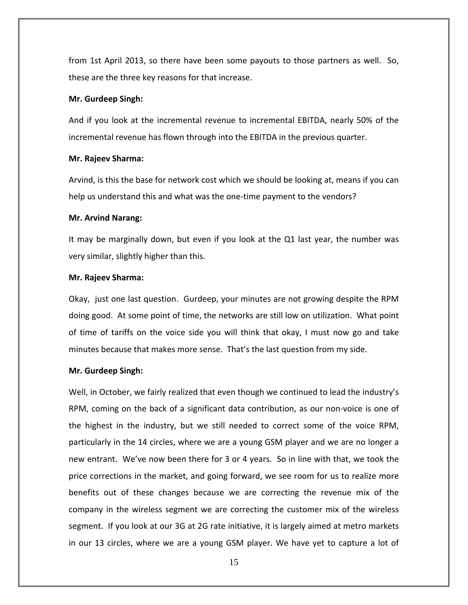from 1st April 2013, so there have been some payouts to those partners as well. So, these are the three key reasons for that increase.

#### **Mr. Gurdeep Singh:**

And if you look at the incremental revenue to incremental EBITDA, nearly 50% of the incremental revenue has flown through into the EBITDA in the previous quarter.

#### **Mr. Rajeev Sharma:**

Arvind, is this the base for network cost which we should be looking at, means if you can help us understand this and what was the one-time payment to the vendors?

## **Mr. Arvind Narang:**

It may be marginally down, but even if you look at the Q1 last year, the number was very similar, slightly higher than this.

## **Mr. Rajeev Sharma:**

Okay, just one last question. Gurdeep, your minutes are not growing despite the RPM doing good. At some point of time, the networks are still low on utilization. What point of time of tariffs on the voice side you will think that okay, I must now go and take minutes because that makes more sense. That's the last question from my side.

## **Mr. Gurdeep Singh:**

Well, in October, we fairly realized that even though we continued to lead the industry's RPM, coming on the back of a significant data contribution, as our non‐voice is one of the highest in the industry, but we still needed to correct some of the voice RPM, particularly in the 14 circles, where we are a young GSM player and we are no longer a new entrant. We've now been there for 3 or 4 years. So in line with that, we took the price corrections in the market, and going forward, we see room for us to realize more benefits out of these changes because we are correcting the revenue mix of the company in the wireless segment we are correcting the customer mix of the wireless segment. If you look at our 3G at 2G rate initiative, it is largely aimed at metro markets in our 13 circles, where we are a young GSM player. We have yet to capture a lot of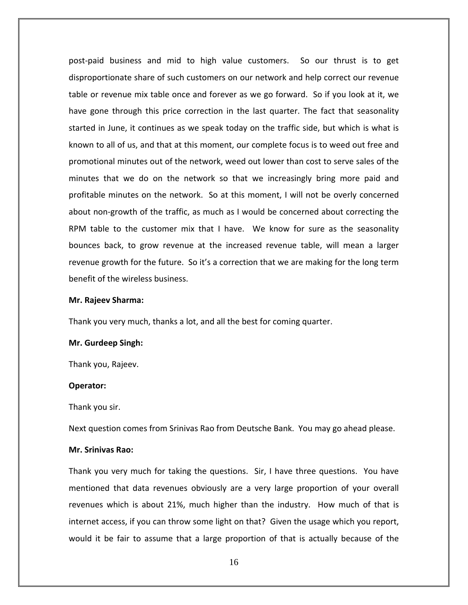post‐paid business and mid to high value customers. So our thrust is to get disproportionate share of such customers on our network and help correct our revenue table or revenue mix table once and forever as we go forward. So if you look at it, we have gone through this price correction in the last quarter. The fact that seasonality started in June, it continues as we speak today on the traffic side, but which is what is known to all of us, and that at this moment, our complete focus is to weed out free and promotional minutes out of the network, weed out lower than cost to serve sales of the minutes that we do on the network so that we increasingly bring more paid and profitable minutes on the network. So at this moment, I will not be overly concerned about non‐growth of the traffic, as much as I would be concerned about correcting the RPM table to the customer mix that I have. We know for sure as the seasonality bounces back, to grow revenue at the increased revenue table, will mean a larger revenue growth for the future. So it's a correction that we are making for the long term benefit of the wireless business.

#### **Mr. Rajeev Sharma:**

Thank you very much, thanks a lot, and all the best for coming quarter.

#### **Mr. Gurdeep Singh:**

Thank you, Rajeev.

#### **Operator:**

Thank you sir.

Next question comes from Srinivas Rao from Deutsche Bank. You may go ahead please.

## **Mr. Srinivas Rao:**

Thank you very much for taking the questions. Sir, I have three questions. You have mentioned that data revenues obviously are a very large proportion of your overall revenues which is about 21%, much higher than the industry. How much of that is internet access, if you can throw some light on that? Given the usage which you report, would it be fair to assume that a large proportion of that is actually because of the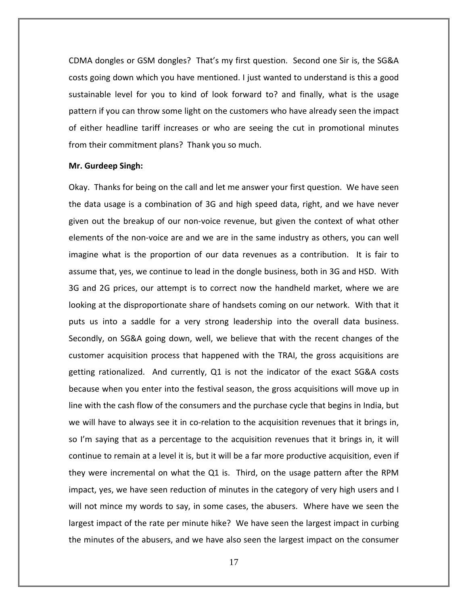CDMA dongles or GSM dongles? That's my first question. Second one Sir is, the SG&A costs going down which you have mentioned. I just wanted to understand is this a good sustainable level for you to kind of look forward to? and finally, what is the usage pattern if you can throw some light on the customers who have already seen the impact of either headline tariff increases or who are seeing the cut in promotional minutes from their commitment plans? Thank you so much.

#### **Mr. Gurdeep Singh:**

Okay. Thanks for being on the call and let me answer your first question. We have seen the data usage is a combination of 3G and high speed data, right, and we have never given out the breakup of our non‐voice revenue, but given the context of what other elements of the non‐voice are and we are in the same industry as others, you can well imagine what is the proportion of our data revenues as a contribution. It is fair to assume that, yes, we continue to lead in the dongle business, both in 3G and HSD. With 3G and 2G prices, our attempt is to correct now the handheld market, where we are looking at the disproportionate share of handsets coming on our network. With that it puts us into a saddle for a very strong leadership into the overall data business. Secondly, on SG&A going down, well, we believe that with the recent changes of the customer acquisition process that happened with the TRAI, the gross acquisitions are getting rationalized. And currently, Q1 is not the indicator of the exact SG&A costs because when you enter into the festival season, the gross acquisitions will move up in line with the cash flow of the consumers and the purchase cycle that begins in India, but we will have to always see it in co-relation to the acquisition revenues that it brings in, so I'm saying that as a percentage to the acquisition revenues that it brings in, it will continue to remain at a level it is, but it will be a far more productive acquisition, even if they were incremental on what the Q1 is. Third, on the usage pattern after the RPM impact, yes, we have seen reduction of minutes in the category of very high users and I will not mince my words to say, in some cases, the abusers. Where have we seen the largest impact of the rate per minute hike? We have seen the largest impact in curbing the minutes of the abusers, and we have also seen the largest impact on the consumer

17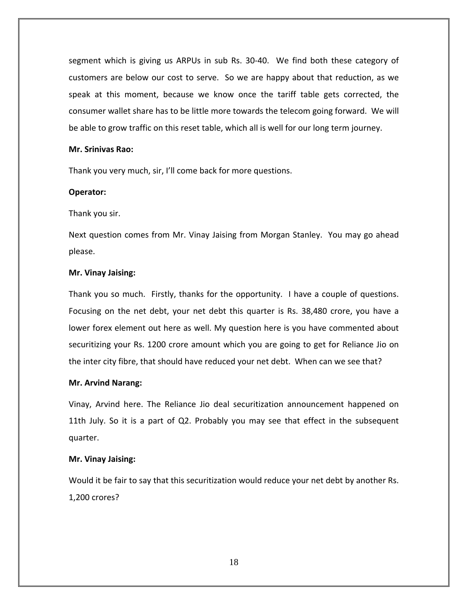segment which is giving us ARPUs in sub Rs. 30-40. We find both these category of customers are below our cost to serve. So we are happy about that reduction, as we speak at this moment, because we know once the tariff table gets corrected, the consumer wallet share has to be little more towards the telecom going forward. We will be able to grow traffic on this reset table, which all is well for our long term journey.

## **Mr. Srinivas Rao:**

Thank you very much, sir, I'll come back for more questions.

## **Operator:**

Thank you sir.

Next question comes from Mr. Vinay Jaising from Morgan Stanley. You may go ahead please.

## **Mr. Vinay Jaising:**

Thank you so much. Firstly, thanks for the opportunity. I have a couple of questions. Focusing on the net debt, your net debt this quarter is Rs. 38,480 crore, you have a lower forex element out here as well. My question here is you have commented about securitizing your Rs. 1200 crore amount which you are going to get for Reliance Jio on the inter city fibre, that should have reduced your net debt. When can we see that?

## **Mr. Arvind Narang:**

Vinay, Arvind here. The Reliance Jio deal securitization announcement happened on 11th July. So it is a part of Q2. Probably you may see that effect in the subsequent quarter.

## **Mr. Vinay Jaising:**

Would it be fair to say that this securitization would reduce your net debt by another Rs. 1,200 crores?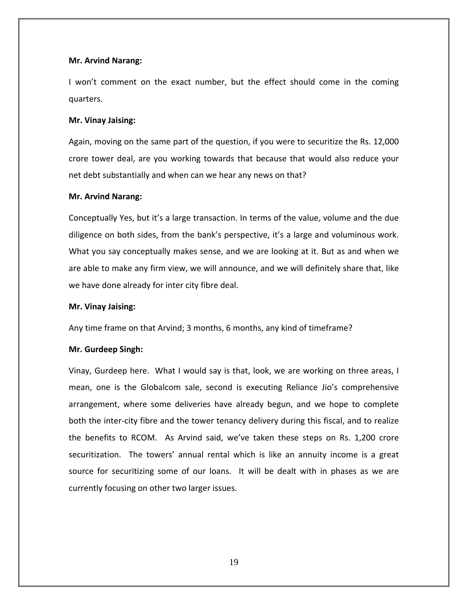## **Mr. Arvind Narang:**

I won't comment on the exact number, but the effect should come in the coming quarters.

## **Mr. Vinay Jaising:**

Again, moving on the same part of the question, if you were to securitize the Rs. 12,000 crore tower deal, are you working towards that because that would also reduce your net debt substantially and when can we hear any news on that?

## **Mr. Arvind Narang:**

Conceptually Yes, but it's a large transaction. In terms of the value, volume and the due diligence on both sides, from the bank's perspective, it's a large and voluminous work. What you say conceptually makes sense, and we are looking at it. But as and when we are able to make any firm view, we will announce, and we will definitely share that, like we have done already for inter city fibre deal.

## **Mr. Vinay Jaising:**

Any time frame on that Arvind; 3 months, 6 months, any kind of timeframe?

## **Mr. Gurdeep Singh:**

Vinay, Gurdeep here. What I would say is that, look, we are working on three areas, I mean, one is the Globalcom sale, second is executing Reliance Jio's comprehensive arrangement, where some deliveries have already begun, and we hope to complete both the inter‐city fibre and the tower tenancy delivery during this fiscal, and to realize the benefits to RCOM. As Arvind said, we've taken these steps on Rs. 1,200 crore securitization. The towers' annual rental which is like an annuity income is a great source for securitizing some of our loans. It will be dealt with in phases as we are currently focusing on other two larger issues.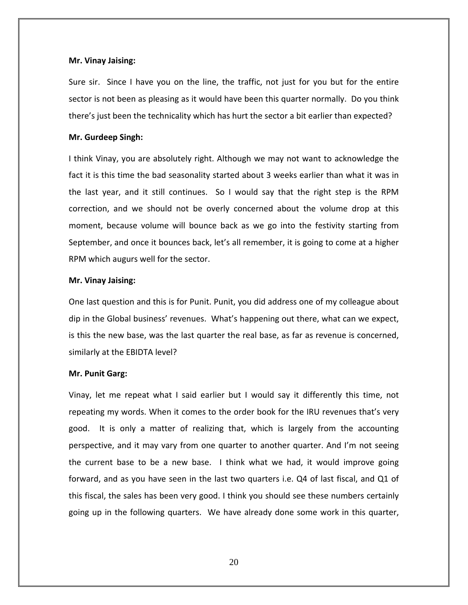## **Mr. Vinay Jaising:**

Sure sir. Since I have you on the line, the traffic, not just for you but for the entire sector is not been as pleasing as it would have been this quarter normally. Do you think there's just been the technicality which has hurt the sector a bit earlier than expected?

## **Mr. Gurdeep Singh:**

I think Vinay, you are absolutely right. Although we may not want to acknowledge the fact it is this time the bad seasonality started about 3 weeks earlier than what it was in the last year, and it still continues. So I would say that the right step is the RPM correction, and we should not be overly concerned about the volume drop at this moment, because volume will bounce back as we go into the festivity starting from September, and once it bounces back, let's all remember, it is going to come at a higher RPM which augurs well for the sector.

## **Mr. Vinay Jaising:**

One last question and this is for Punit. Punit, you did address one of my colleague about dip in the Global business' revenues. What's happening out there, what can we expect, is this the new base, was the last quarter the real base, as far as revenue is concerned, similarly at the EBIDTA level?

## **Mr. Punit Garg:**

Vinay, let me repeat what I said earlier but I would say it differently this time, not repeating my words. When it comes to the order book for the IRU revenues that's very good. It is only a matter of realizing that, which is largely from the accounting perspective, and it may vary from one quarter to another quarter. And I'm not seeing the current base to be a new base. I think what we had, it would improve going forward, and as you have seen in the last two quarters i.e. Q4 of last fiscal, and Q1 of this fiscal, the sales has been very good. I think you should see these numbers certainly going up in the following quarters. We have already done some work in this quarter,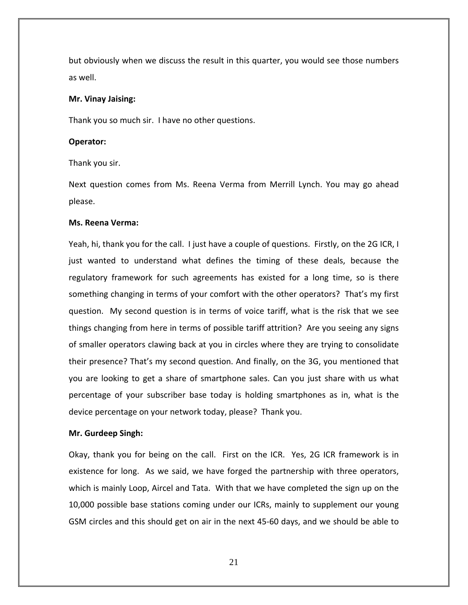but obviously when we discuss the result in this quarter, you would see those numbers as well.

## **Mr. Vinay Jaising:**

Thank you so much sir. I have no other questions.

## **Operator:**

Thank you sir.

Next question comes from Ms. Reena Verma from Merrill Lynch. You may go ahead please.

## **Ms. Reena Verma:**

Yeah, hi, thank you for the call. I just have a couple of questions. Firstly, on the 2G ICR, I just wanted to understand what defines the timing of these deals, because the regulatory framework for such agreements has existed for a long time, so is there something changing in terms of your comfort with the other operators? That's my first question. My second question is in terms of voice tariff, what is the risk that we see things changing from here in terms of possible tariff attrition? Are you seeing any signs of smaller operators clawing back at you in circles where they are trying to consolidate their presence? That's my second question. And finally, on the 3G, you mentioned that you are looking to get a share of smartphone sales. Can you just share with us what percentage of your subscriber base today is holding smartphones as in, what is the device percentage on your network today, please? Thank you.

#### **Mr. Gurdeep Singh:**

Okay, thank you for being on the call. First on the ICR. Yes, 2G ICR framework is in existence for long. As we said, we have forged the partnership with three operators, which is mainly Loop, Aircel and Tata. With that we have completed the sign up on the 10,000 possible base stations coming under our ICRs, mainly to supplement our young GSM circles and this should get on air in the next 45‐60 days, and we should be able to

21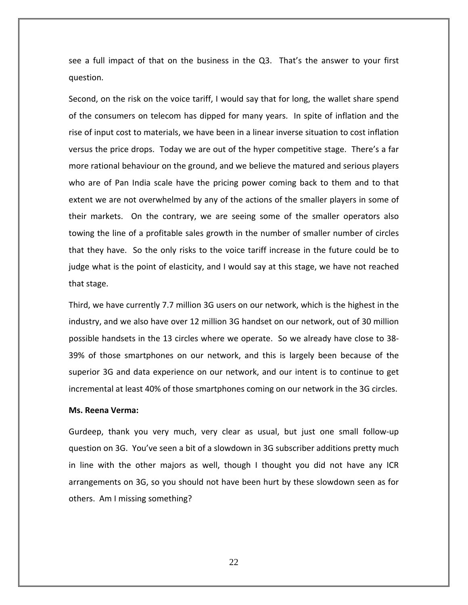see a full impact of that on the business in the Q3. That's the answer to your first question.

Second, on the risk on the voice tariff, I would say that for long, the wallet share spend of the consumers on telecom has dipped for many years. In spite of inflation and the rise of input cost to materials, we have been in a linear inverse situation to cost inflation versus the price drops. Today we are out of the hyper competitive stage. There's a far more rational behaviour on the ground, and we believe the matured and serious players who are of Pan India scale have the pricing power coming back to them and to that extent we are not overwhelmed by any of the actions of the smaller players in some of their markets. On the contrary, we are seeing some of the smaller operators also towing the line of a profitable sales growth in the number of smaller number of circles that they have. So the only risks to the voice tariff increase in the future could be to judge what is the point of elasticity, and I would say at this stage, we have not reached that stage.

Third, we have currently 7.7 million 3G users on our network, which is the highest in the industry, and we also have over 12 million 3G handset on our network, out of 30 million possible handsets in the 13 circles where we operate. So we already have close to 38‐ 39% of those smartphones on our network, and this is largely been because of the superior 3G and data experience on our network, and our intent is to continue to get incremental at least 40% of those smartphones coming on our network in the 3G circles.

#### **Ms. Reena Verma:**

Gurdeep, thank you very much, very clear as usual, but just one small follow‐up question on 3G. You've seen a bit of a slowdown in 3G subscriber additions pretty much in line with the other majors as well, though I thought you did not have any ICR arrangements on 3G, so you should not have been hurt by these slowdown seen as for others. Am I missing something?

22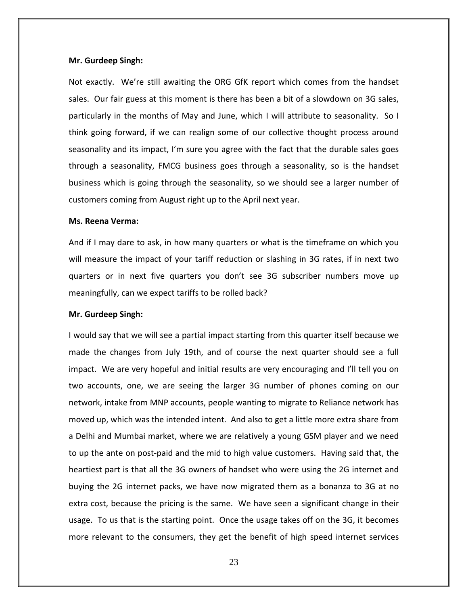#### **Mr. Gurdeep Singh:**

Not exactly. We're still awaiting the ORG GfK report which comes from the handset sales. Our fair guess at this moment is there has been a bit of a slowdown on 3G sales, particularly in the months of May and June, which I will attribute to seasonality. So I think going forward, if we can realign some of our collective thought process around seasonality and its impact, I'm sure you agree with the fact that the durable sales goes through a seasonality, FMCG business goes through a seasonality, so is the handset business which is going through the seasonality, so we should see a larger number of customers coming from August right up to the April next year.

#### **Ms. Reena Verma:**

And if I may dare to ask, in how many quarters or what is the timeframe on which you will measure the impact of your tariff reduction or slashing in 3G rates, if in next two quarters or in next five quarters you don't see 3G subscriber numbers move up meaningfully, can we expect tariffs to be rolled back?

#### **Mr. Gurdeep Singh:**

I would say that we will see a partial impact starting from this quarter itself because we made the changes from July 19th, and of course the next quarter should see a full impact. We are very hopeful and initial results are very encouraging and I'll tell you on two accounts, one, we are seeing the larger 3G number of phones coming on our network, intake from MNP accounts, people wanting to migrate to Reliance network has moved up, which was the intended intent. And also to get a little more extra share from a Delhi and Mumbai market, where we are relatively a young GSM player and we need to up the ante on post‐paid and the mid to high value customers. Having said that, the heartiest part is that all the 3G owners of handset who were using the 2G internet and buying the 2G internet packs, we have now migrated them as a bonanza to 3G at no extra cost, because the pricing is the same. We have seen a significant change in their usage. To us that is the starting point. Once the usage takes off on the 3G, it becomes more relevant to the consumers, they get the benefit of high speed internet services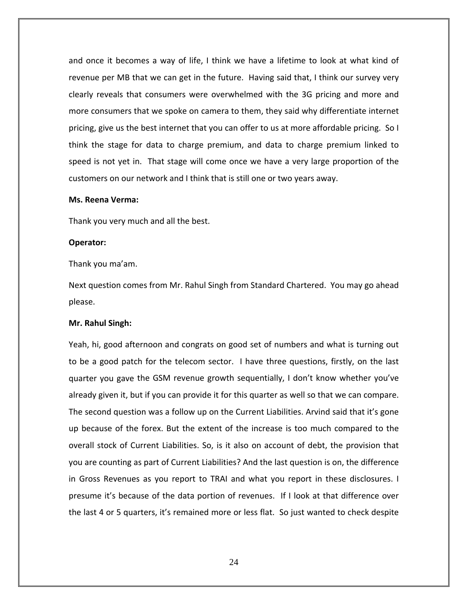and once it becomes a way of life, I think we have a lifetime to look at what kind of revenue per MB that we can get in the future. Having said that, I think our survey very clearly reveals that consumers were overwhelmed with the 3G pricing and more and more consumers that we spoke on camera to them, they said why differentiate internet pricing, give us the best internet that you can offer to us at more affordable pricing. So I think the stage for data to charge premium, and data to charge premium linked to speed is not yet in. That stage will come once we have a very large proportion of the customers on our network and I think that is still one or two years away.

#### **Ms. Reena Verma:**

Thank you very much and all the best.

#### **Operator:**

Thank you ma'am.

Next question comes from Mr. Rahul Singh from Standard Chartered. You may go ahead please.

## **Mr. Rahul Singh:**

Yeah, hi, good afternoon and congrats on good set of numbers and what is turning out to be a good patch for the telecom sector. I have three questions, firstly, on the last quarter you gave the GSM revenue growth sequentially, I don't know whether you've already given it, but if you can provide it for this quarter as well so that we can compare. The second question was a follow up on the Current Liabilities. Arvind said that it's gone up because of the forex. But the extent of the increase is too much compared to the overall stock of Current Liabilities. So, is it also on account of debt, the provision that you are counting as part of Current Liabilities? And the last question is on, the difference in Gross Revenues as you report to TRAI and what you report in these disclosures. I presume it's because of the data portion of revenues. If I look at that difference over the last 4 or 5 quarters, it's remained more or less flat. So just wanted to check despite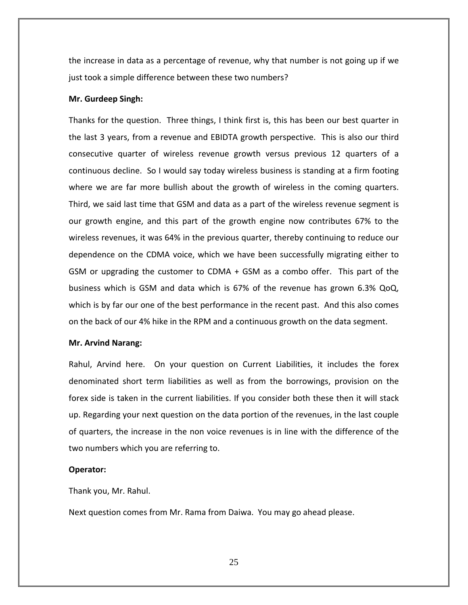the increase in data as a percentage of revenue, why that number is not going up if we just took a simple difference between these two numbers?

#### **Mr. Gurdeep Singh:**

Thanks for the question. Three things, I think first is, this has been our best quarter in the last 3 years, from a revenue and EBIDTA growth perspective. This is also our third consecutive quarter of wireless revenue growth versus previous 12 quarters of a continuous decline. So I would say today wireless business is standing at a firm footing where we are far more bullish about the growth of wireless in the coming quarters. Third, we said last time that GSM and data as a part of the wireless revenue segment is our growth engine, and this part of the growth engine now contributes 67% to the wireless revenues, it was 64% in the previous quarter, thereby continuing to reduce our dependence on the CDMA voice, which we have been successfully migrating either to GSM or upgrading the customer to CDMA + GSM as a combo offer. This part of the business which is GSM and data which is 67% of the revenue has grown 6.3% QoQ, which is by far our one of the best performance in the recent past. And this also comes on the back of our 4% hike in the RPM and a continuous growth on the data segment.

## **Mr. Arvind Narang:**

Rahul, Arvind here. On your question on Current Liabilities, it includes the forex denominated short term liabilities as well as from the borrowings, provision on the forex side is taken in the current liabilities. If you consider both these then it will stack up. Regarding your next question on the data portion of the revenues, in the last couple of quarters, the increase in the non voice revenues is in line with the difference of the two numbers which you are referring to.

#### **Operator:**

Thank you, Mr. Rahul.

Next question comes from Mr. Rama from Daiwa. You may go ahead please.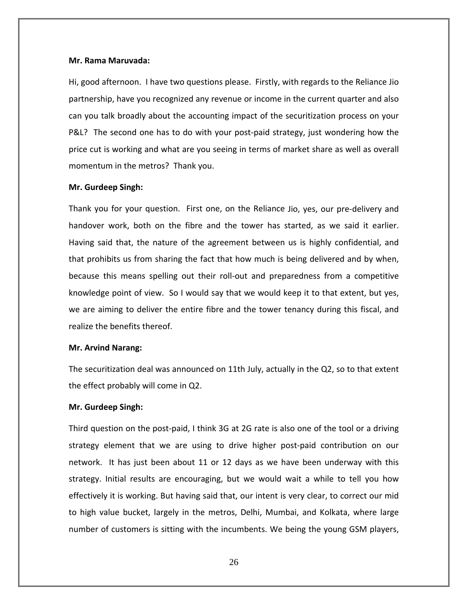#### **Mr. Rama Maruvada:**

Hi, good afternoon. I have two questions please. Firstly, with regards to the Reliance Jio partnership, have you recognized any revenue or income in the current quarter and also can you talk broadly about the accounting impact of the securitization process on your P&L? The second one has to do with your post-paid strategy, just wondering how the price cut is working and what are you seeing in terms of market share as well as overall momentum in the metros? Thank you.

#### **Mr. Gurdeep Singh:**

Thank you for your question. First one, on the Reliance Jio, yes, our pre‐delivery and handover work, both on the fibre and the tower has started, as we said it earlier. Having said that, the nature of the agreement between us is highly confidential, and that prohibits us from sharing the fact that how much is being delivered and by when, because this means spelling out their roll‐out and preparedness from a competitive knowledge point of view. So I would say that we would keep it to that extent, but yes, we are aiming to deliver the entire fibre and the tower tenancy during this fiscal, and realize the benefits thereof.

#### **Mr. Arvind Narang:**

The securitization deal was announced on 11th July, actually in the Q2, so to that extent the effect probably will come in Q2.

#### **Mr. Gurdeep Singh:**

Third question on the post-paid, I think 3G at 2G rate is also one of the tool or a driving strategy element that we are using to drive higher post-paid contribution on our network. It has just been about 11 or 12 days as we have been underway with this strategy. Initial results are encouraging, but we would wait a while to tell you how effectively it is working. But having said that, our intent is very clear, to correct our mid to high value bucket, largely in the metros, Delhi, Mumbai, and Kolkata, where large number of customers is sitting with the incumbents. We being the young GSM players,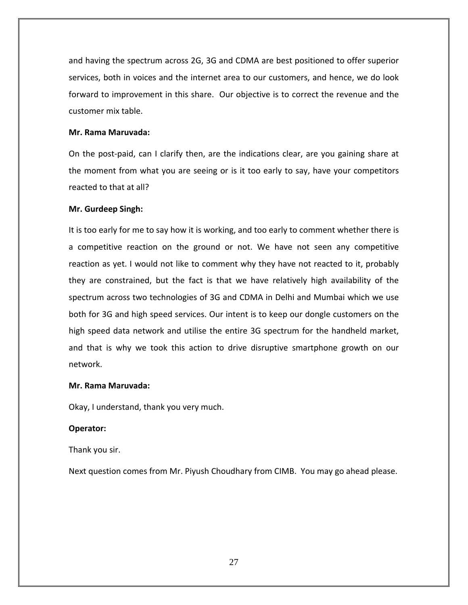and having the spectrum across 2G, 3G and CDMA are best positioned to offer superior services, both in voices and the internet area to our customers, and hence, we do look forward to improvement in this share. Our objective is to correct the revenue and the customer mix table.

# **Mr. Rama Maruvada:**

On the post‐paid, can I clarify then, are the indications clear, are you gaining share at the moment from what you are seeing or is it too early to say, have your competitors reacted to that at all?

# **Mr. Gurdeep Singh:**

It is too early for me to say how it is working, and too early to comment whether there is a competitive reaction on the ground or not. We have not seen any competitive reaction as yet. I would not like to comment why they have not reacted to it, probably they are constrained, but the fact is that we have relatively high availability of the spectrum across two technologies of 3G and CDMA in Delhi and Mumbai which we use both for 3G and high speed services. Our intent is to keep our dongle customers on the high speed data network and utilise the entire 3G spectrum for the handheld market, and that is why we took this action to drive disruptive smartphone growth on our network.

## **Mr. Rama Maruvada:**

Okay, I understand, thank you very much.

# **Operator:**

Thank you sir.

Next question comes from Mr. Piyush Choudhary from CIMB. You may go ahead please.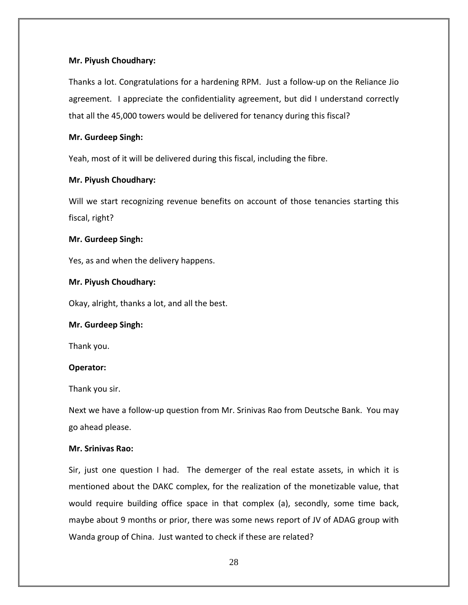# **Mr. Piyush Choudhary:**

Thanks a lot. Congratulations for a hardening RPM. Just a follow‐up on the Reliance Jio agreement. I appreciate the confidentiality agreement, but did I understand correctly that all the 45,000 towers would be delivered for tenancy during this fiscal?

# **Mr. Gurdeep Singh:**

Yeah, most of it will be delivered during this fiscal, including the fibre.

# **Mr. Piyush Choudhary:**

Will we start recognizing revenue benefits on account of those tenancies starting this fiscal, right?

# **Mr. Gurdeep Singh:**

Yes, as and when the delivery happens.

# **Mr. Piyush Choudhary:**

Okay, alright, thanks a lot, and all the best.

## **Mr. Gurdeep Singh:**

Thank you.

# **Operator:**

Thank you sir.

Next we have a follow‐up question from Mr. Srinivas Rao from Deutsche Bank. You may go ahead please.

## **Mr. Srinivas Rao:**

Sir, just one question I had. The demerger of the real estate assets, in which it is mentioned about the DAKC complex, for the realization of the monetizable value, that would require building office space in that complex (a), secondly, some time back, maybe about 9 months or prior, there was some news report of JV of ADAG group with Wanda group of China. Just wanted to check if these are related?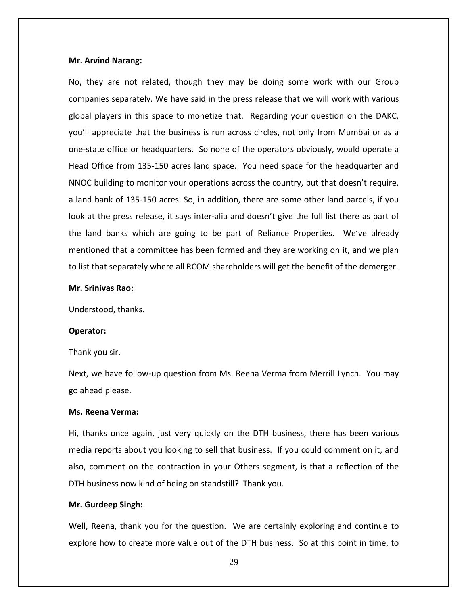#### **Mr. Arvind Narang:**

No, they are not related, though they may be doing some work with our Group companies separately. We have said in the press release that we will work with various global players in this space to monetize that. Regarding your question on the DAKC, you'll appreciate that the business is run across circles, not only from Mumbai or as a one‐state office or headquarters. So none of the operators obviously, would operate a Head Office from 135‐150 acres land space. You need space for the headquarter and NNOC building to monitor your operations across the country, but that doesn't require, a land bank of 135‐150 acres. So, in addition, there are some other land parcels, if you look at the press release, it says inter-alia and doesn't give the full list there as part of the land banks which are going to be part of Reliance Properties. We've already mentioned that a committee has been formed and they are working on it, and we plan to list that separately where all RCOM shareholders will get the benefit of the demerger.

#### **Mr. Srinivas Rao:**

Understood, thanks.

#### **Operator:**

Thank you sir.

Next, we have follow-up question from Ms. Reena Verma from Merrill Lynch. You may go ahead please.

## **Ms. Reena Verma:**

Hi, thanks once again, just very quickly on the DTH business, there has been various media reports about you looking to sell that business. If you could comment on it, and also, comment on the contraction in your Others segment, is that a reflection of the DTH business now kind of being on standstill? Thank you.

## **Mr. Gurdeep Singh:**

Well, Reena, thank you for the question. We are certainly exploring and continue to explore how to create more value out of the DTH business. So at this point in time, to